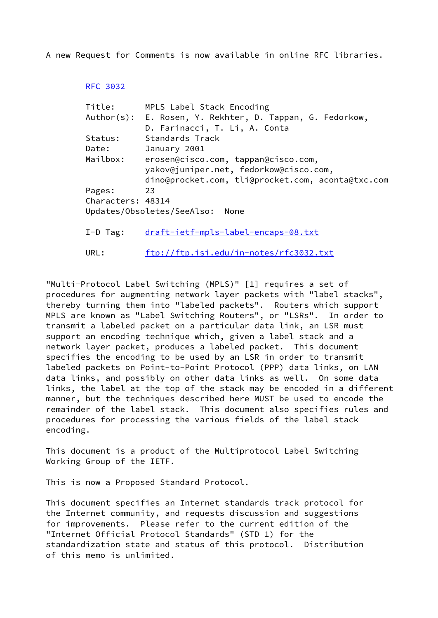A new Request for Comments is now available in online RFC libraries.

## [RFC 3032](https://datatracker.ietf.org/doc/pdf/rfc3032)

| Title:            | MPLS Label Stack Encoding                                                     |
|-------------------|-------------------------------------------------------------------------------|
|                   | Author(s): E. Rosen, Y. Rekhter, D. Tappan, G. Fedorkow,                      |
|                   | D. Farinacci, T. Li, A. Conta                                                 |
| Status:           | Standards Track                                                               |
| Date:             | January 2001                                                                  |
| Mailbox:          | erosen@cisco.com, tappan@cisco.com,<br>yakov@juniper.net, fedorkow@cisco.com, |
|                   | dino@procket.com, tli@procket.com, aconta@txc.com                             |
| Pages:            | 23                                                                            |
| Characters: 48314 |                                                                               |
|                   | Updates/Obsoletes/SeeAlso:<br>None                                            |
| $I-D$ Tag:        | draft-ietf-mpls-label-encaps-08.txt                                           |
|                   |                                                                               |

"Multi-Protocol Label Switching (MPLS)" [1] requires a set of procedures for augmenting network layer packets with "label stacks", thereby turning them into "labeled packets". Routers which support MPLS are known as "Label Switching Routers", or "LSRs". In order to transmit a labeled packet on a particular data link, an LSR must support an encoding technique which, given a label stack and a network layer packet, produces a labeled packet. This document specifies the encoding to be used by an LSR in order to transmit labeled packets on Point-to-Point Protocol (PPP) data links, on LAN data links, and possibly on other data links as well. On some data links, the label at the top of the stack may be encoded in a different manner, but the techniques described here MUST be used to encode the remainder of the label stack. This document also specifies rules and procedures for processing the various fields of the label stack encoding.

URL: <ftp://ftp.isi.edu/in-notes/rfc3032.txt>

This document is a product of the Multiprotocol Label Switching Working Group of the IETF.

This is now a Proposed Standard Protocol.

This document specifies an Internet standards track protocol for the Internet community, and requests discussion and suggestions for improvements. Please refer to the current edition of the "Internet Official Protocol Standards" (STD 1) for the standardization state and status of this protocol. Distribution of this memo is unlimited.